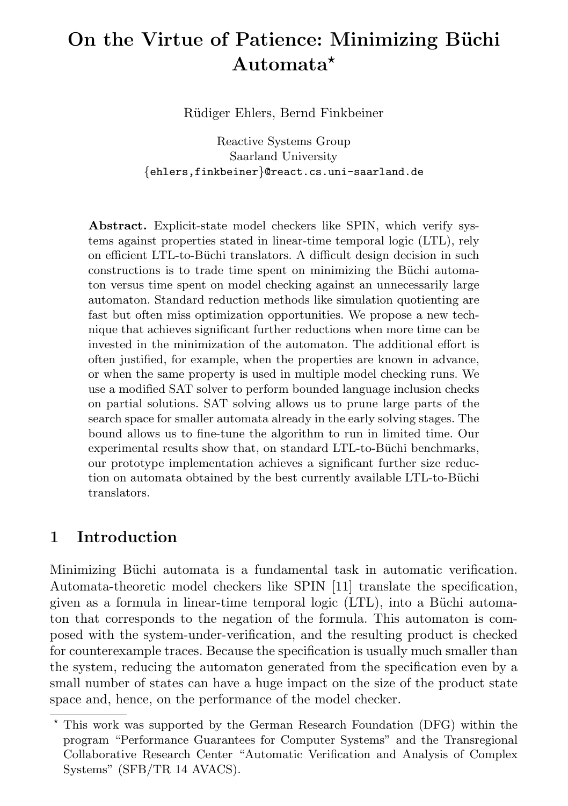# On the Virtue of Patience: Minimizing Büchi Automata $*$

Rüdiger Ehlers, Bernd Finkbeiner

Reactive Systems Group Saarland University {ehlers,finkbeiner}@react.cs.uni-saarland.de

Abstract. Explicit-state model checkers like SPIN, which verify systems against properties stated in linear-time temporal logic (LTL), rely on efficient LTL-to-Büchi translators. A difficult design decision in such constructions is to trade time spent on minimizing the Büchi automaton versus time spent on model checking against an unnecessarily large automaton. Standard reduction methods like simulation quotienting are fast but often miss optimization opportunities. We propose a new technique that achieves significant further reductions when more time can be invested in the minimization of the automaton. The additional effort is often justified, for example, when the properties are known in advance, or when the same property is used in multiple model checking runs. We use a modified SAT solver to perform bounded language inclusion checks on partial solutions. SAT solving allows us to prune large parts of the search space for smaller automata already in the early solving stages. The bound allows us to fine-tune the algorithm to run in limited time. Our experimental results show that, on standard LTL-to-Büchi benchmarks, our prototype implementation achieves a significant further size reduction on automata obtained by the best currently available LTL-to-Büchi translators.

### 1 Introduction

Minimizing Büchi automata is a fundamental task in automatic verification. Automata-theoretic model checkers like SPIN [11] translate the specification, given as a formula in linear-time temporal logic  $(LTL)$ , into a Büchi automaton that corresponds to the negation of the formula. This automaton is composed with the system-under-verification, and the resulting product is checked for counterexample traces. Because the specification is usually much smaller than the system, reducing the automaton generated from the specification even by a small number of states can have a huge impact on the size of the product state space and, hence, on the performance of the model checker.

<sup>?</sup> This work was supported by the German Research Foundation (DFG) within the program "Performance Guarantees for Computer Systems" and the Transregional Collaborative Research Center "Automatic Verification and Analysis of Complex Systems" (SFB/TR 14 AVACS).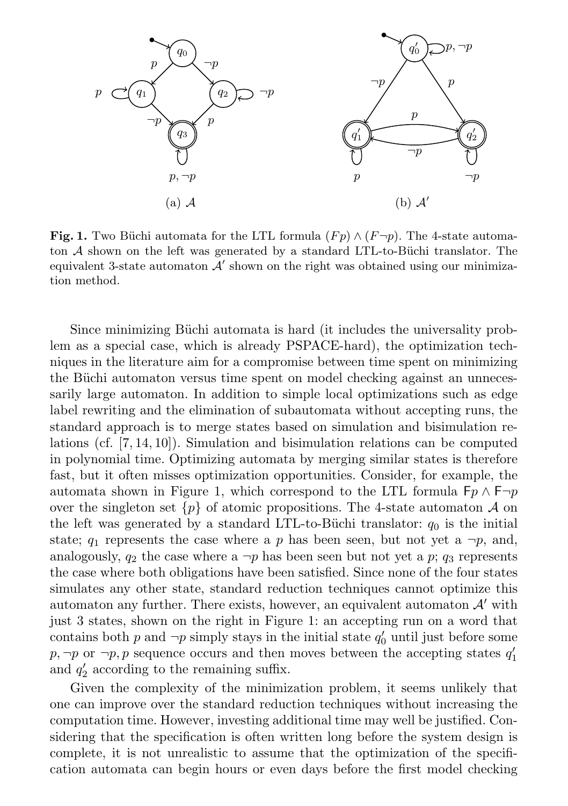

Fig. 1. Two Büchi automata for the LTL formula  $(Fp) \wedge (F\neg p)$ . The 4-state automaton  $A$  shown on the left was generated by a standard LTL-to-Büchi translator. The equivalent 3-state automaton  $A'$  shown on the right was obtained using our minimization method.

Since minimizing Büchi automata is hard (it includes the universality problem as a special case, which is already PSPACE-hard), the optimization techniques in the literature aim for a compromise between time spent on minimizing the Büchi automaton versus time spent on model checking against an unnecessarily large automaton. In addition to simple local optimizations such as edge label rewriting and the elimination of subautomata without accepting runs, the standard approach is to merge states based on simulation and bisimulation relations (cf. [7, 14, 10]). Simulation and bisimulation relations can be computed in polynomial time. Optimizing automata by merging similar states is therefore fast, but it often misses optimization opportunities. Consider, for example, the automata shown in Figure 1, which correspond to the LTL formula  $F_p \wedge F\neg p$ over the singleton set  $\{p\}$  of atomic propositions. The 4-state automaton A on the left was generated by a standard LTL-to-Büchi translator:  $q_0$  is the initial state;  $q_1$  represents the case where a p has been seen, but not yet a  $\neg p$ , and, analogously,  $q_2$  the case where a  $\neg p$  has been seen but not yet a p;  $q_3$  represents the case where both obligations have been satisfied. Since none of the four states simulates any other state, standard reduction techniques cannot optimize this automaton any further. There exists, however, an equivalent automaton  $\mathcal{A}'$  with just 3 states, shown on the right in Figure 1: an accepting run on a word that contains both  $p$  and  $\neg p$  simply stays in the initial state  $q'_0$  until just before some  $p, \neg p$  or  $\neg p, p$  sequence occurs and then moves between the accepting states  $q'_1$ and  $q'_2$  according to the remaining suffix.

Given the complexity of the minimization problem, it seems unlikely that one can improve over the standard reduction techniques without increasing the computation time. However, investing additional time may well be justified. Considering that the specification is often written long before the system design is complete, it is not unrealistic to assume that the optimization of the specification automata can begin hours or even days before the first model checking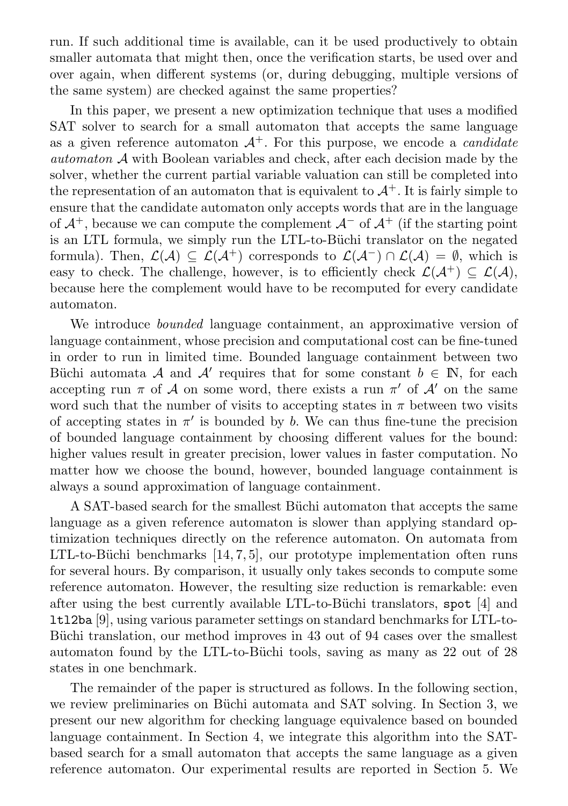run. If such additional time is available, can it be used productively to obtain smaller automata that might then, once the verification starts, be used over and over again, when different systems (or, during debugging, multiple versions of the same system) are checked against the same properties?

In this paper, we present a new optimization technique that uses a modified SAT solver to search for a small automaton that accepts the same language as a given reference automaton  $A^+$ . For this purpose, we encode a *candidate* automaton A with Boolean variables and check, after each decision made by the solver, whether the current partial variable valuation can still be completed into the representation of an automaton that is equivalent to  $\mathcal{A}^+$ . It is fairly simple to ensure that the candidate automaton only accepts words that are in the language of  $\mathcal{A}^+$ , because we can compute the complement  $\mathcal{A}^-$  of  $\mathcal{A}^+$  (if the starting point is an LTL formula, we simply run the LTL-to-Büchi translator on the negated formula). Then,  $\mathcal{L}(\mathcal{A}) \subseteq \mathcal{L}(\mathcal{A}^+)$  corresponds to  $\mathcal{L}(\mathcal{A}^-) \cap \mathcal{L}(\mathcal{A}) = \emptyset$ , which is easy to check. The challenge, however, is to efficiently check  $\mathcal{L}(\mathcal{A}^+) \subseteq \mathcal{L}(\mathcal{A})$ , because here the complement would have to be recomputed for every candidate automaton.

We introduce *bounded* language containment, an approximative version of language containment, whose precision and computational cost can be fine-tuned in order to run in limited time. Bounded language containment between two Büchi automata A and A' requires that for some constant  $b \in \mathbb{N}$ , for each accepting run  $\pi$  of  $\mathcal A$  on some word, there exists a run  $\pi'$  of  $\mathcal A'$  on the same word such that the number of visits to accepting states in  $\pi$  between two visits of accepting states in  $\pi'$  is bounded by b. We can thus fine-tune the precision of bounded language containment by choosing different values for the bound: higher values result in greater precision, lower values in faster computation. No matter how we choose the bound, however, bounded language containment is always a sound approximation of language containment.

A SAT-based search for the smallest Büchi automaton that accepts the same language as a given reference automaton is slower than applying standard optimization techniques directly on the reference automaton. On automata from LTL-to-Büchi benchmarks  $[14, 7, 5]$ , our prototype implementation often runs for several hours. By comparison, it usually only takes seconds to compute some reference automaton. However, the resulting size reduction is remarkable: even after using the best currently available LTL-to-Büchi translators, spot  $[4]$  and ltl2ba [9], using various parameter settings on standard benchmarks for LTL-to-Büchi translation, our method improves in 43 out of 94 cases over the smallest automaton found by the LTL-to-Büchi tools, saving as many as 22 out of 28 states in one benchmark.

The remainder of the paper is structured as follows. In the following section, we review preliminaries on Büchi automata and SAT solving. In Section 3, we present our new algorithm for checking language equivalence based on bounded language containment. In Section 4, we integrate this algorithm into the SATbased search for a small automaton that accepts the same language as a given reference automaton. Our experimental results are reported in Section 5. We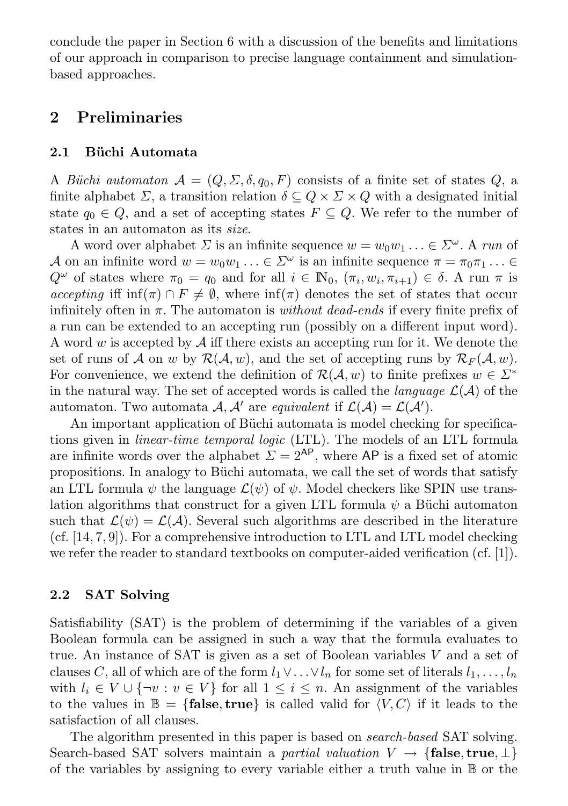conclude the paper in Section 6 with a discussion of the benefits and limitations of our approach in comparison to precise language containment and simulationbased approaches.

# 2 Preliminaries

### 2.1 Büchi Automata

A Büchi automaton  $\mathcal{A} = (Q, \Sigma, \delta, q_0, F)$  consists of a finite set of states Q, a finite alphabet  $\Sigma$ , a transition relation  $\delta \subseteq Q \times \Sigma \times Q$  with a designated initial state  $q_0 \in Q$ , and a set of accepting states  $F \subseteq Q$ . We refer to the number of states in an automaton as its size.

A word over alphabet  $\Sigma$  is an infinite sequence  $w = w_0w_1 \ldots \in \Sigma^{\omega}$ . A run of A on an infinite word  $w = w_0w_1 \ldots \in \Sigma^\omega$  is an infinite sequence  $\pi = \pi_0\pi_1 \ldots \in$  $Q^{\omega}$  of states where  $\pi_0 = q_0$  and for all  $i \in \mathbb{N}_0$ ,  $(\pi_i, w_i, \pi_{i+1}) \in \delta$ . A run  $\pi$  is accepting iff inf( $\pi$ )  $\cap$   $F \neq \emptyset$ , where inf( $\pi$ ) denotes the set of states that occur infinitely often in  $\pi$ . The automaton is *without dead-ends* if every finite prefix of a run can be extended to an accepting run (possibly on a different input word). A word  $w$  is accepted by  $A$  iff there exists an accepting run for it. We denote the set of runs of A on w by  $\mathcal{R}(\mathcal{A}, w)$ , and the set of accepting runs by  $\mathcal{R}_F(\mathcal{A}, w)$ . For convenience, we extend the definition of  $\mathcal{R}(\mathcal{A}, w)$  to finite prefixes  $w \in \mathcal{L}^*$ in the natural way. The set of accepted words is called the *language*  $\mathcal{L}(\mathcal{A})$  of the automaton. Two automata  $A, A'$  are equivalent if  $\mathcal{L}(A) = \mathcal{L}(A')$ .

An important application of Büchi automata is model checking for specifications given in linear-time temporal logic (LTL). The models of an LTL formula are infinite words over the alphabet  $\Sigma = 2^{AP}$ , where AP is a fixed set of atomic propositions. In analogy to B¨uchi automata, we call the set of words that satisfy an LTL formula  $\psi$  the language  $\mathcal{L}(\psi)$  of  $\psi$ . Model checkers like SPIN use translation algorithms that construct for a given LTL formula  $\psi$  a Büchi automaton such that  $\mathcal{L}(\psi) = \mathcal{L}(\mathcal{A})$ . Several such algorithms are described in the literature (cf. [14, 7, 9]). For a comprehensive introduction to LTL and LTL model checking we refer the reader to standard textbooks on computer-aided verification (cf. [1]).

#### 2.2 SAT Solving

Satisfiability (SAT) is the problem of determining if the variables of a given Boolean formula can be assigned in such a way that the formula evaluates to true. An instance of SAT is given as a set of Boolean variables V and a set of clauses C, all of which are of the form  $l_1 \vee \ldots \vee l_n$  for some set of literals  $l_1, \ldots, l_n$ with  $l_i \in V \cup \{\neg v : v \in V\}$  for all  $1 \leq i \leq n$ . An assignment of the variables to the values in  $\mathbb{B} = \{\text{false}, \text{true}\}\$ is called valid for  $\langle V, C \rangle$  if it leads to the satisfaction of all clauses.

The algorithm presented in this paper is based on search-based SAT solving. Search-based SAT solvers maintain a partial valuation  $V \rightarrow \{$ **false, true,**  $\perp$ } of the variables by assigning to every variable either a truth value in B or the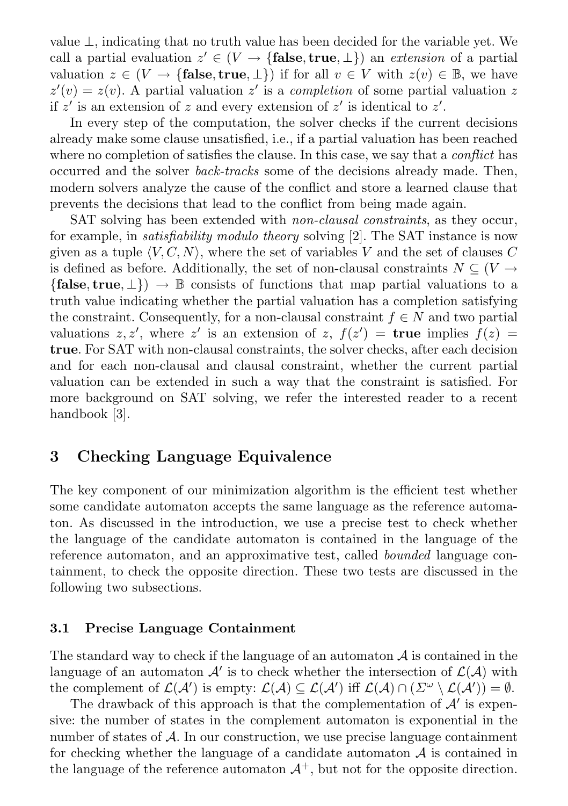value  $\perp$ , indicating that no truth value has been decided for the variable yet. We call a partial evaluation  $z' \in (V \to \{\text{false}, \text{true}, \perp\})$  an extension of a partial valuation  $z \in (V \to \{\text{false}, \text{true}, \perp\})$  if for all  $v \in V$  with  $z(v) \in \mathbb{B}$ , we have  $z'(v) = z(v)$ . A partial valuation z' is a *completion* of some partial valuation z if  $z'$  is an extension of z and every extension of  $z'$  is identical to  $z'$ .

In every step of the computation, the solver checks if the current decisions already make some clause unsatisfied, i.e., if a partial valuation has been reached where no completion of satisfies the clause. In this case, we say that a *conflict* has occurred and the solver back-tracks some of the decisions already made. Then, modern solvers analyze the cause of the conflict and store a learned clause that prevents the decisions that lead to the conflict from being made again.

SAT solving has been extended with non-clausal constraints, as they occur, for example, in satisfiability modulo theory solving [2]. The SAT instance is now given as a tuple  $\langle V, C, N \rangle$ , where the set of variables V and the set of clauses C is defined as before. Additionally, the set of non-clausal constraints  $N \subseteq (V \rightarrow$  ${\text{false, true, } \perp}$   $\rightarrow \mathbb{B}$  consists of functions that map partial valuations to a truth value indicating whether the partial valuation has a completion satisfying the constraint. Consequently, for a non-clausal constraint  $f \in N$  and two partial valuations z, z', where z' is an extension of z,  $f(z') =$  true implies  $f(z) =$ true. For SAT with non-clausal constraints, the solver checks, after each decision and for each non-clausal and clausal constraint, whether the current partial valuation can be extended in such a way that the constraint is satisfied. For more background on SAT solving, we refer the interested reader to a recent handbook [3].

# 3 Checking Language Equivalence

The key component of our minimization algorithm is the efficient test whether some candidate automaton accepts the same language as the reference automaton. As discussed in the introduction, we use a precise test to check whether the language of the candidate automaton is contained in the language of the reference automaton, and an approximative test, called bounded language containment, to check the opposite direction. These two tests are discussed in the following two subsections.

#### 3.1 Precise Language Containment

The standard way to check if the language of an automaton  $A$  is contained in the language of an automaton  $\mathcal{A}'$  is to check whether the intersection of  $\mathcal{L}(\mathcal{A})$  with the complement of  $\mathcal{L}(\mathcal{A}')$  is empty:  $\mathcal{L}(\mathcal{A}) \subseteq \mathcal{L}(\mathcal{A}')$  iff  $\mathcal{L}(\mathcal{A}) \cap (\Sigma^{\omega} \setminus \mathcal{L}(\mathcal{A}')) = \emptyset$ .

The drawback of this approach is that the complementation of  $\mathcal{A}'$  is expensive: the number of states in the complement automaton is exponential in the number of states of A. In our construction, we use precise language containment for checking whether the language of a candidate automaton  $A$  is contained in the language of the reference automaton  $A^+$ , but not for the opposite direction.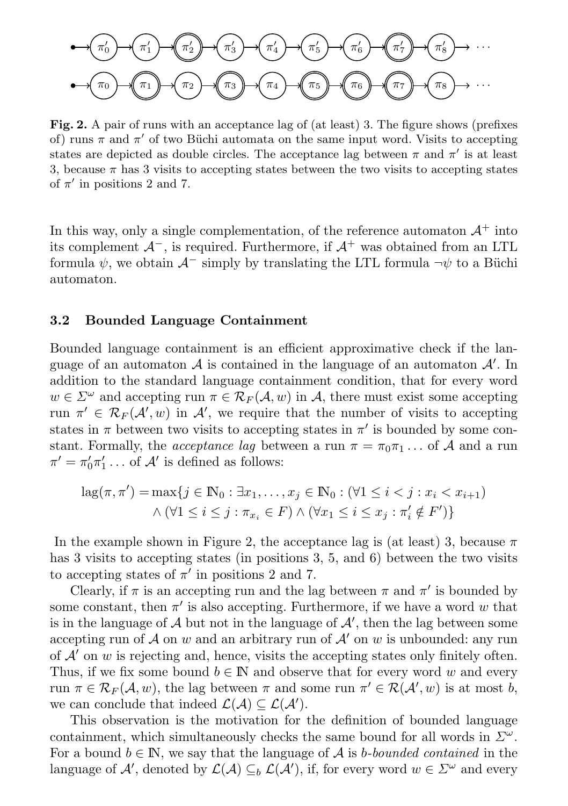π 0 0 π0 π 0 1 π1 π 0 2 π2 π 0 3 π3 π 0 4 π4 π 0 5 π5 π 0 6 π6 π 0 7 π7 π 0 8 π8 . . . . . .

Fig. 2. A pair of runs with an acceptance lag of (at least) 3. The figure shows (prefixes of) runs  $\pi$  and  $\pi'$  of two Büchi automata on the same input word. Visits to accepting states are depicted as double circles. The acceptance lag between  $\pi$  and  $\pi'$  is at least 3, because  $\pi$  has 3 visits to accepting states between the two visits to accepting states of  $\pi'$  in positions 2 and 7.

In this way, only a single complementation, of the reference automaton  $A^+$  into its complement  $\mathcal{A}^-$ , is required. Furthermore, if  $\mathcal{A}^+$  was obtained from an LTL formula  $\psi$ , we obtain  $\mathcal{A}^-$  simply by translating the LTL formula  $\neg \psi$  to a Büchi automaton.

### 3.2 Bounded Language Containment

Bounded language containment is an efficient approximative check if the language of an automaton  $A$  is contained in the language of an automaton  $A'$ . In addition to the standard language containment condition, that for every word  $w \in \Sigma^{\omega}$  and accepting run  $\pi \in \mathcal{R}_F(\mathcal{A}, w)$  in  $\mathcal{A}$ , there must exist some accepting run  $\pi' \in \mathcal{R}_F(\mathcal{A}', w)$  in  $\mathcal{A}'$ , we require that the number of visits to accepting states in  $\pi$  between two visits to accepting states in  $\pi'$  is bounded by some constant. Formally, the *acceptance lag* between a run  $\pi = \pi_0 \pi_1 \dots$  of A and a run  $\pi' = \pi'_0 \pi'_1 \dots$  of  $\mathcal{A}'$  is defined as follows:

$$
\operatorname{lag}(\pi, \pi') = \max\{j \in \mathbb{N}_0 : \exists x_1, \dots, x_j \in \mathbb{N}_0 : (\forall 1 \le i < j : x_i < x_{i+1})
$$

$$
\wedge (\forall 1 \le i \le j : \pi_{x_i} \in F) \wedge (\forall x_1 \le i \le x_j : \pi'_i \notin F')\}
$$

In the example shown in Figure 2, the acceptance lag is (at least) 3, because  $\pi$ has 3 visits to accepting states (in positions 3, 5, and 6) between the two visits to accepting states of  $\pi'$  in positions 2 and 7.

Clearly, if  $\pi$  is an accepting run and the lag between  $\pi$  and  $\pi'$  is bounded by some constant, then  $\pi'$  is also accepting. Furthermore, if we have a word w that is in the language of  $A$  but not in the language of  $A'$ , then the lag between some accepting run of  $A$  on w and an arbitrary run of  $A'$  on w is unbounded: any run of  $\mathcal{A}'$  on w is rejecting and, hence, visits the accepting states only finitely often. Thus, if we fix some bound  $b \in \mathbb{N}$  and observe that for every word w and every run  $\pi \in \mathcal{R}_F(\mathcal{A}, w)$ , the lag between  $\pi$  and some run  $\pi' \in \mathcal{R}(\mathcal{A}', w)$  is at most b, we can conclude that indeed  $\mathcal{L}(\mathcal{A}) \subseteq \mathcal{L}(\mathcal{A}')$ .

This observation is the motivation for the definition of bounded language containment, which simultaneously checks the same bound for all words in  $\Sigma^{\omega}$ . For a bound  $b \in \mathbb{N}$ , we say that the language of A is b-bounded contained in the language of  $\mathcal{A}'$ , denoted by  $\mathcal{L}(\mathcal{A}) \subseteq_b \mathcal{L}(\mathcal{A}')$ , if, for every word  $w \in \mathcal{L}^{\omega}$  and every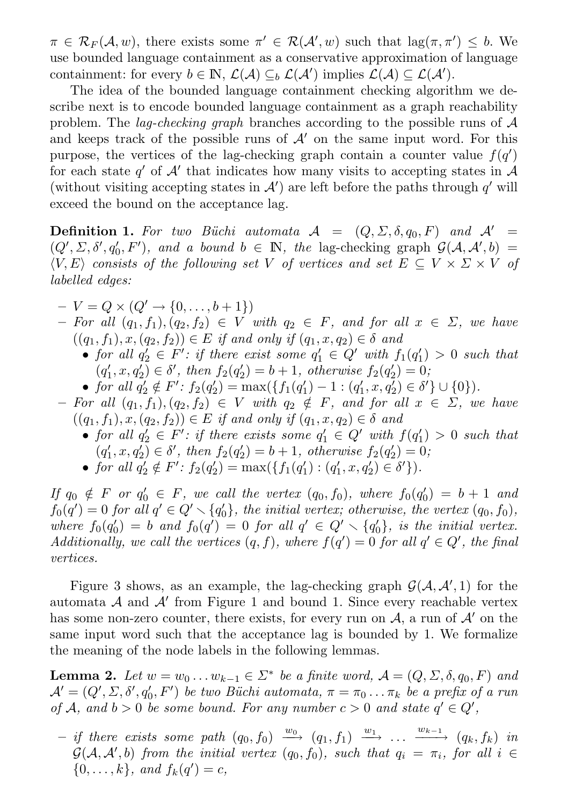$\pi \in \mathcal{R}_F(\mathcal{A}, w)$ , there exists some  $\pi' \in \mathcal{R}(\mathcal{A}', w)$  such that  $\text{lag}(\pi, \pi') \leq b$ . We use bounded language containment as a conservative approximation of language containment: for every  $b \in \mathbb{N}$ ,  $\mathcal{L}(\mathcal{A}) \subseteq_b \mathcal{L}(\mathcal{A}')$  implies  $\mathcal{L}(\mathcal{A}) \subseteq \mathcal{L}(\mathcal{A}')$ .

The idea of the bounded language containment checking algorithm we describe next is to encode bounded language containment as a graph reachability problem. The *lag-checking graph* branches according to the possible runs of  $A$ and keeps track of the possible runs of  $\mathcal{A}'$  on the same input word. For this purpose, the vertices of the lag-checking graph contain a counter value  $f(q')$ for each state  $q'$  of  $\mathcal{A}'$  that indicates how many visits to accepting states in  $\mathcal{A}$ (without visiting accepting states in  $\mathcal{A}'$ ) are left before the paths through  $q'$  will exceed the bound on the acceptance lag.

**Definition 1.** For two Büchi automata  $A = (Q, \Sigma, \delta, q_0, F)$  and  $A' =$  $(Q', \Sigma, \delta', q'_0, F')$ , and a bound  $b \in \mathbb{N}$ , the lag-checking graph  $\mathcal{G}(\mathcal{A}, \mathcal{A}', b)$  $\langle V, E \rangle$  consists of the following set V of vertices and set  $E \subseteq V \times \Sigma \times V$  of labelled edges:

- $-V = Q \times (Q' \rightarrow \{0, \ldots, b + 1\})$
- For all  $(q_1, f_1), (q_2, f_2) \in V$  with  $q_2 \in F$ , and for all  $x \in \Sigma$ , we have  $((q_1, f_1), x, (q_2, f_2)) \in E$  if and only if  $(q_1, x, q_2) \in \delta$  and
	- for all  $q'_2 \in F'$ : if there exist some  $q'_1 \in Q'$  with  $f_1(q'_1) > 0$  such that  $(q'_1, x, q'_2) \in \delta'$ , then  $f_2(q'_2) = b + 1$ , otherwise  $f_2(q'_2) = 0$ ;
	- for all  $q'_2 \notin F'$ :  $f_2(q'_2) = \max(\{f_1(q'_1) 1 : (q'_1, x, q'_2) \in \delta'\} \cup \{0\}).$
- For all  $(q_1, f_1), (q_2, f_2) \in V$  with  $q_2 \notin F$ , and for all  $x \in \Sigma$ , we have  $((q_1, f_1), x, (q_2, f_2)) \in E$  if and only if  $(q_1, x, q_2) \in \delta$  and
	- for all  $q'_2 \in F'$ : if there exists some  $q'_1 \in Q'$  with  $f(q'_1) > 0$  such that  $(q'_1, x, q'_2) \in \delta'$ , then  $f_2(q'_2) = b + 1$ , otherwise  $f_2(q'_2) = 0$ ;
	- for all  $q'_2 \notin F'$ :  $f_2(q'_2) = \max(\{f_1(q'_1) : (q'_1, x, q'_2) \in \delta'\}).$

If  $q_0 \notin F$  or  $q'_0 \in F$ , we call the vertex  $(q_0, f_0)$ , where  $f_0(q'_0) = b + 1$  and  $f_0(q') = 0$  for all  $q' \in Q' \setminus \{q_0'\}$ , the initial vertex; otherwise, the vertex  $(q_0, f_0)$ , where  $f_0(q'_0) = b$  and  $f_0(q') = 0$  for all  $q' \in Q' \setminus \{q'_0\}$ , is the initial vertex. Additionally, we call the vertices  $(q, f)$ , where  $f(q') = 0$  for all  $q' \in Q'$ , the final vertices.

Figure 3 shows, as an example, the lag-checking graph  $\mathcal{G}(\mathcal{A}, \mathcal{A}', 1)$  for the automata  $A$  and  $A'$  from Figure 1 and bound 1. Since every reachable vertex has some non-zero counter, there exists, for every run on  $A$ , a run of  $A'$  on the same input word such that the acceptance lag is bounded by 1. We formalize the meaning of the node labels in the following lemmas.

**Lemma 2.** Let  $w = w_0 \dots w_{k-1} \in \Sigma^*$  be a finite word,  $\mathcal{A} = (Q, \Sigma, \delta, q_0, F)$  and  $\mathcal{A}' = (Q', \Sigma, \delta', q'_0, F')$  be two Büchi automata,  $\pi = \pi_0 \dots \pi_k$  be a prefix of a run of A, and  $b > 0$  be some bound. For any number  $c > 0$  and state  $q' \in Q'$ ,

 $-$  if there exists some path  $(q_0, f_0) \xrightarrow{w_0} (q_1, f_1) \xrightarrow{w_1} \dots \xrightarrow{w_{k-1}} (q_k, f_k)$  in  $\mathcal{G}(\mathcal{A}, \mathcal{A}', b)$  from the initial vertex  $(q_0, f_0)$ , such that  $q_i = \pi_i$ , for all  $i \in$  $\{0, \ldots, k\}, \text{ and } f_k(q') = c,$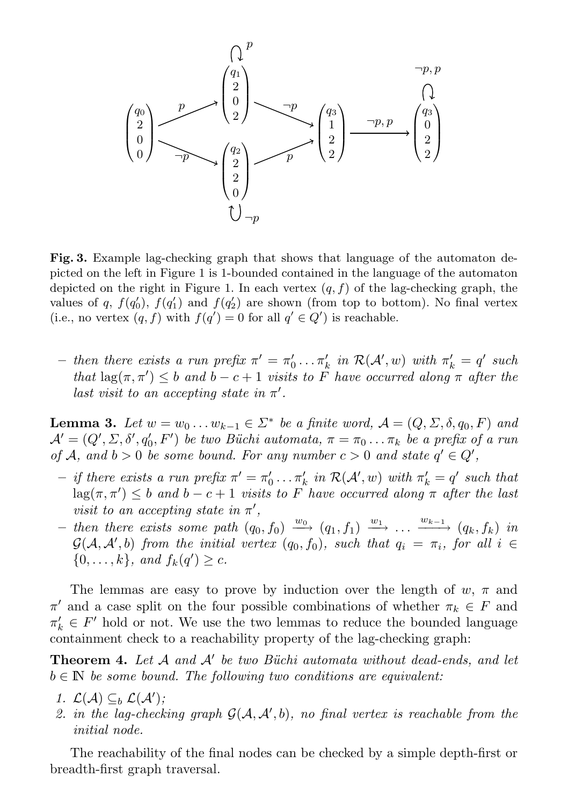

Fig. 3. Example lag-checking graph that shows that language of the automaton depicted on the left in Figure 1 is 1-bounded contained in the language of the automaton depicted on the right in Figure 1. In each vertex  $(q, f)$  of the lag-checking graph, the values of q,  $f(q'_0)$ ,  $f(q'_1)$  and  $f(q'_2)$  are shown (from top to bottom). No final vertex (i.e., no vertex  $(q, f)$  with  $f(q') = 0$  for all  $q' \in Q'$ ) is reachable.

- then there exists a run prefix  $\pi' = \pi'_0 \dots \pi'_k$  in  $\mathcal{R}(\mathcal{A}', w)$  with  $\pi'_k = q'$  such that  $\log(\pi, \pi') \leq b$  and  $b - c + 1$  visits to F have occurred along  $\pi$  after the last visit to an accepting state in  $\pi'$ .

**Lemma 3.** Let  $w = w_0 \dots w_{k-1} \in \Sigma^*$  be a finite word,  $\mathcal{A} = (Q, \Sigma, \delta, q_0, F)$  and  $\mathcal{A}' = (Q', \Sigma, \delta', q'_0, F')$  be two Büchi automata,  $\pi = \pi_0 \dots \pi_k$  be a prefix of a run of A, and  $b > 0$  be some bound. For any number  $c > 0$  and state  $q' \in Q'$ ,

- if there exists a run prefix  $\pi' = \pi'_0 \dots \pi'_k$  in  $\mathcal{R}(\mathcal{A}', w)$  with  $\pi'_k = q'$  such that  $\log(\pi, \pi') \leq b$  and  $b - c + 1$  visits to F have occurred along  $\pi$  after the last visit to an accepting state in  $\pi'$ ,
- $-$  then there exists some path  $(q_0, f_0) \xrightarrow{w_0} (q_1, f_1) \xrightarrow{w_1} \ldots \xrightarrow{w_{k-1}} (q_k, f_k)$  in  $\mathcal{G}(\mathcal{A}, \mathcal{A}', b)$  from the initial vertex  $(q_0, f_0)$ , such that  $q_i = \pi_i$ , for all  $i \in$  $\{0, \ldots, k\}, \text{ and } f_k(q') \geq c.$

The lemmas are easy to prove by induction over the length of w,  $\pi$  and  $\pi'$  and a case split on the four possible combinations of whether  $\pi_k \in F$  and  $\pi'_k \in F'$  hold or not. We use the two lemmas to reduce the bounded language containment check to a reachability property of the lag-checking graph:

Theorem 4. Let A and A' be two Büchi automata without dead-ends, and let  $b \in \mathbb{N}$  be some bound. The following two conditions are equivalent:

- 1.  $\mathcal{L}(\mathcal{A}) \subseteq_b \mathcal{L}(\mathcal{A}'),$
- 2. in the lag-checking graph  $G(A, A', b)$ , no final vertex is reachable from the initial node.

The reachability of the final nodes can be checked by a simple depth-first or breadth-first graph traversal.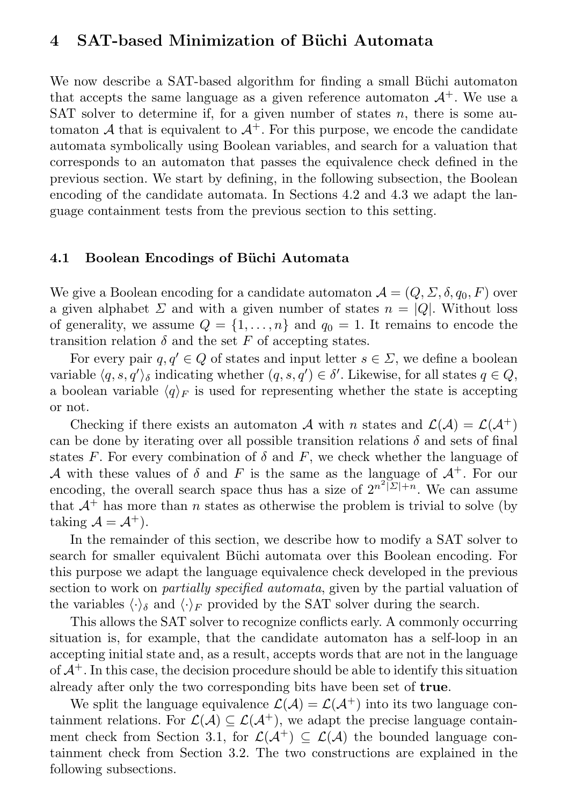### 4 SAT-based Minimization of Büchi Automata

We now describe a SAT-based algorithm for finding a small Büchi automaton that accepts the same language as a given reference automaton  $A^+$ . We use a SAT solver to determine if, for a given number of states n, there is some automaton A that is equivalent to  $A^+$ . For this purpose, we encode the candidate automata symbolically using Boolean variables, and search for a valuation that corresponds to an automaton that passes the equivalence check defined in the previous section. We start by defining, in the following subsection, the Boolean encoding of the candidate automata. In Sections 4.2 and 4.3 we adapt the language containment tests from the previous section to this setting.

#### 4.1 Boolean Encodings of Büchi Automata

We give a Boolean encoding for a candidate automaton  $\mathcal{A} = (Q, \Sigma, \delta, q_0, F)$  over a given alphabet  $\Sigma$  and with a given number of states  $n = |Q|$ . Without loss of generality, we assume  $Q = \{1, \ldots, n\}$  and  $q_0 = 1$ . It remains to encode the transition relation  $\delta$  and the set F of accepting states.

For every pair q,  $q' \in Q$  of states and input letter  $s \in \Sigma$ , we define a boolean variable  $\langle q, s, q' \rangle_{\delta}$  indicating whether  $(q, s, q') \in \delta'$ . Likewise, for all states  $q \in Q$ , a boolean variable  $\langle q \rangle_F$  is used for representing whether the state is accepting or not.

Checking if there exists an automaton A with n states and  $\mathcal{L}(\mathcal{A}) = \mathcal{L}(\mathcal{A}^+)$ can be done by iterating over all possible transition relations  $\delta$  and sets of final states F. For every combination of  $\delta$  and F, we check whether the language of A with these values of  $\delta$  and F is the same as the language of  $A^+$ . For our encoding, the overall search space thus has a size of  $2^{n^2|\Sigma|+n}$ . We can assume that  $A^+$  has more than n states as otherwise the problem is trivial to solve (by taking  $\mathcal{A} = \mathcal{A}^+$ ).

In the remainder of this section, we describe how to modify a SAT solver to search for smaller equivalent Büchi automata over this Boolean encoding. For this purpose we adapt the language equivalence check developed in the previous section to work on *partially specified automata*, given by the partial valuation of the variables  $\langle \cdot \rangle_{\delta}$  and  $\langle \cdot \rangle_F$  provided by the SAT solver during the search.

This allows the SAT solver to recognize conflicts early. A commonly occurring situation is, for example, that the candidate automaton has a self-loop in an accepting initial state and, as a result, accepts words that are not in the language of  $\mathcal{A}^+$ . In this case, the decision procedure should be able to identify this situation already after only the two corresponding bits have been set of true.

We split the language equivalence  $\mathcal{L}(\mathcal{A}) = \mathcal{L}(\mathcal{A}^+)$  into its two language containment relations. For  $\mathcal{L}(\mathcal{A}) \subseteq \mathcal{L}(\mathcal{A}^+)$ , we adapt the precise language containment check from Section 3.1, for  $\mathcal{L}(\mathcal{A}^+) \subseteq \mathcal{L}(\mathcal{A})$  the bounded language containment check from Section 3.2. The two constructions are explained in the following subsections.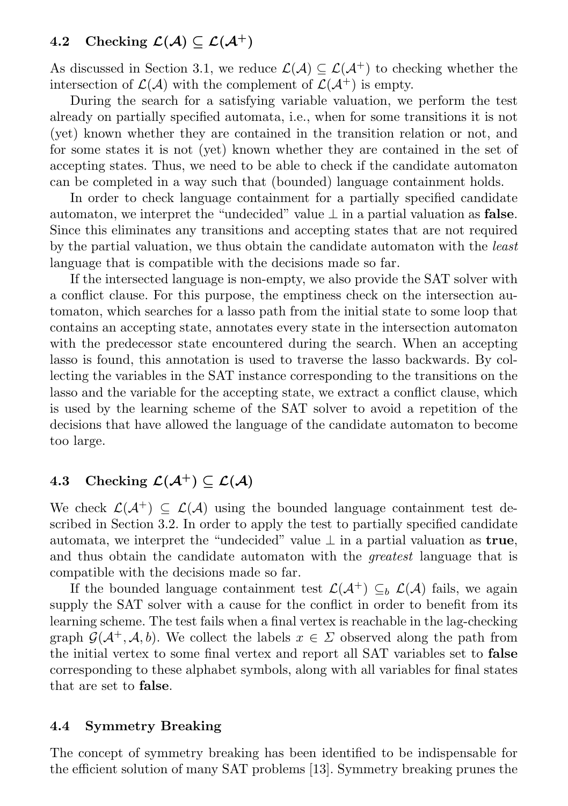### 4.2 Checking  $\mathcal{L}(\mathcal{A}) \subseteq \mathcal{L}(\mathcal{A}^+)$

As discussed in Section 3.1, we reduce  $\mathcal{L}(\mathcal{A}) \subseteq \mathcal{L}(\mathcal{A}^+)$  to checking whether the intersection of  $\mathcal{L}(\mathcal{A})$  with the complement of  $\mathcal{L}(\mathcal{A}^+)$  is empty.

During the search for a satisfying variable valuation, we perform the test already on partially specified automata, i.e., when for some transitions it is not (yet) known whether they are contained in the transition relation or not, and for some states it is not (yet) known whether they are contained in the set of accepting states. Thus, we need to be able to check if the candidate automaton can be completed in a way such that (bounded) language containment holds.

In order to check language containment for a partially specified candidate automaton, we interpret the "undecided" value  $\perp$  in a partial valuation as **false**. Since this eliminates any transitions and accepting states that are not required by the partial valuation, we thus obtain the candidate automaton with the least language that is compatible with the decisions made so far.

If the intersected language is non-empty, we also provide the SAT solver with a conflict clause. For this purpose, the emptiness check on the intersection automaton, which searches for a lasso path from the initial state to some loop that contains an accepting state, annotates every state in the intersection automaton with the predecessor state encountered during the search. When an accepting lasso is found, this annotation is used to traverse the lasso backwards. By collecting the variables in the SAT instance corresponding to the transitions on the lasso and the variable for the accepting state, we extract a conflict clause, which is used by the learning scheme of the SAT solver to avoid a repetition of the decisions that have allowed the language of the candidate automaton to become too large.

# 4.3 Checking  $\mathcal{L}(\mathcal{A}^+) \subseteq \mathcal{L}(\mathcal{A})$

We check  $\mathcal{L}(\mathcal{A}^+) \subseteq \mathcal{L}(\mathcal{A})$  using the bounded language containment test described in Section 3.2. In order to apply the test to partially specified candidate automata, we interpret the "undecided" value  $\perp$  in a partial valuation as **true**, and thus obtain the candidate automaton with the greatest language that is compatible with the decisions made so far.

If the bounded language containment test  $\mathcal{L}(\mathcal{A}^+) \subseteq_b \mathcal{L}(\mathcal{A})$  fails, we again supply the SAT solver with a cause for the conflict in order to benefit from its learning scheme. The test fails when a final vertex is reachable in the lag-checking graph  $\mathcal{G}(\mathcal{A}^+, \mathcal{A}, b)$ . We collect the labels  $x \in \Sigma$  observed along the path from the initial vertex to some final vertex and report all SAT variables set to false corresponding to these alphabet symbols, along with all variables for final states that are set to false.

### 4.4 Symmetry Breaking

The concept of symmetry breaking has been identified to be indispensable for the efficient solution of many SAT problems [13]. Symmetry breaking prunes the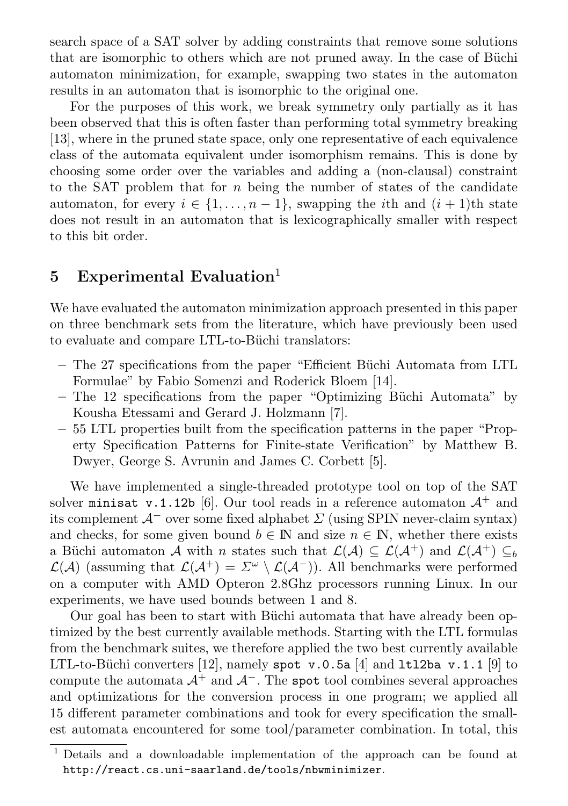search space of a SAT solver by adding constraints that remove some solutions that are isomorphic to others which are not pruned away. In the case of Büchi automaton minimization, for example, swapping two states in the automaton results in an automaton that is isomorphic to the original one.

For the purposes of this work, we break symmetry only partially as it has been observed that this is often faster than performing total symmetry breaking [13], where in the pruned state space, only one representative of each equivalence class of the automata equivalent under isomorphism remains. This is done by choosing some order over the variables and adding a (non-clausal) constraint to the SAT problem that for  $n$  being the number of states of the candidate automaton, for every  $i \in \{1, ..., n-1\}$ , swapping the *i*th and  $(i + 1)$ th state does not result in an automaton that is lexicographically smaller with respect to this bit order.

# 5 Experimental Evaluation<sup>1</sup>

We have evaluated the automaton minimization approach presented in this paper on three benchmark sets from the literature, which have previously been used to evaluate and compare LTL-to-Büchi translators:

- $-$  The 27 specifications from the paper "Efficient Büchi Automata from LTL Formulae" by Fabio Somenzi and Roderick Bloem [14].
- $-$  The 12 specifications from the paper "Optimizing Büchi Automata" by Kousha Etessami and Gerard J. Holzmann [7].
- 55 LTL properties built from the specification patterns in the paper "Property Specification Patterns for Finite-state Verification" by Matthew B. Dwyer, George S. Avrunin and James C. Corbett [5].

We have implemented a single-threaded prototype tool on top of the SAT solver minisat v.1.12b [6]. Our tool reads in a reference automaton  $\mathcal{A}^+$  and its complement  $\mathcal{A}^-$  over some fixed alphabet  $\Sigma$  (using SPIN never-claim syntax) and checks, for some given bound  $b \in \mathbb{N}$  and size  $n \in \mathbb{N}$ , whether there exists a Büchi automaton A with n states such that  $\mathcal{L}(\mathcal{A}) \subseteq \mathcal{L}(\mathcal{A}^+)$  and  $\mathcal{L}(\mathcal{A}^+) \subseteq_b$  $\mathcal{L}(\mathcal{A})$  (assuming that  $\mathcal{L}(\mathcal{A}^+) = \Sigma^\omega \setminus \mathcal{L}(\mathcal{A}^-)$ ). All benchmarks were performed on a computer with AMD Opteron 2.8Ghz processors running Linux. In our experiments, we have used bounds between 1 and 8.

Our goal has been to start with Büchi automata that have already been optimized by the best currently available methods. Starting with the LTL formulas from the benchmark suites, we therefore applied the two best currently available LTL-to-Büchi converters [12], namely spot v.0.5a [4] and 1t12ba v.1.1 [9] to compute the automata  $A^+$  and  $A^-$ . The spot tool combines several approaches and optimizations for the conversion process in one program; we applied all 15 different parameter combinations and took for every specification the smallest automata encountered for some tool/parameter combination. In total, this

<sup>1</sup> Details and a downloadable implementation of the approach can be found at http://react.cs.uni-saarland.de/tools/nbwminimizer.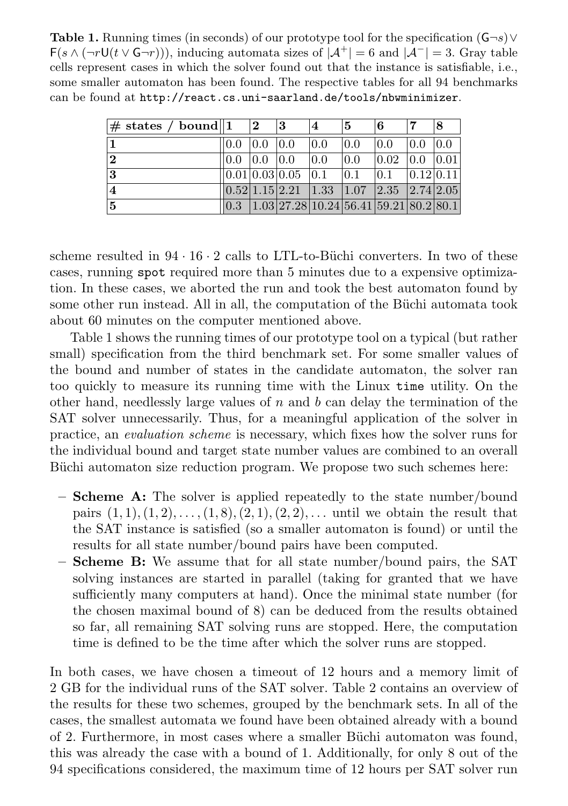Table 1. Running times (in seconds) of our prototype tool for the specification  $(G\neg s)$   $\vee$  $F(s \wedge (\neg rU(t \vee \mathsf{G}\neg r)))$ , inducing automata sizes of  $|\mathcal{A}^+| = 6$  and  $|\mathcal{A}^-| = 3$ . Gray table cells represent cases in which the solver found out that the instance is satisfiable, i.e., some smaller automaton has been found. The respective tables for all 94 benchmarks can be found at http://react.cs.uni-saarland.de/tools/nbwminimizer.

| $\#$ states / bound 1 |      | 2               | - 13               | 4                                                                                            | 15  | 6              |                  | 18   |
|-----------------------|------|-----------------|--------------------|----------------------------------------------------------------------------------------------|-----|----------------|------------------|------|
| 11                    | 10.0 | 0.0 0.0         |                    | 0.0                                                                                          | 0.0 | 0.0            | 0.0              | 10.0 |
| 2                     | 0.0  | $ 0.0 $ $ 0.0 $ |                    | 0.0                                                                                          | 0.0 | $ 0.02\rangle$ | $ 0.0 $ $ 0.01 $ |      |
| 3                     |      |                 | 0.01 0.03 0.05 0.1 |                                                                                              | 0.1 | $ 0.1\rangle$  | 0.12 0.11        |      |
| $\overline{4}$        |      |                 |                    | $\vert 0.52 \vert 1.15 \vert 2.21 \vert 1.33 \vert 1.07 \vert 2.35 \vert 2.74 \vert 2.05$    |     |                |                  |      |
| 5                     |      |                 |                    | $\vert 0.3 \vert 1.03 \vert 27.28 \vert 10.24 \vert 56.41 \vert 59.21 \vert 80.2 \vert 80.1$ |     |                |                  |      |

scheme resulted in  $94 \cdot 16 \cdot 2$  calls to LTL-to-Büchi converters. In two of these cases, running spot required more than 5 minutes due to a expensive optimization. In these cases, we aborted the run and took the best automaton found by some other run instead. All in all, the computation of the Büchi automata took about 60 minutes on the computer mentioned above.

Table 1 shows the running times of our prototype tool on a typical (but rather small) specification from the third benchmark set. For some smaller values of the bound and number of states in the candidate automaton, the solver ran too quickly to measure its running time with the Linux time utility. On the other hand, needlessly large values of  $n$  and  $b$  can delay the termination of the SAT solver unnecessarily. Thus, for a meaningful application of the solver in practice, an evaluation scheme is necessary, which fixes how the solver runs for the individual bound and target state number values are combined to an overall Büchi automaton size reduction program. We propose two such schemes here:

- Scheme A: The solver is applied repeatedly to the state number/bound pairs  $(1, 1), (1, 2), \ldots, (1, 8), (2, 1), (2, 2), \ldots$  until we obtain the result that the SAT instance is satisfied (so a smaller automaton is found) or until the results for all state number/bound pairs have been computed.
- Scheme B: We assume that for all state number/bound pairs, the SAT solving instances are started in parallel (taking for granted that we have sufficiently many computers at hand). Once the minimal state number (for the chosen maximal bound of 8) can be deduced from the results obtained so far, all remaining SAT solving runs are stopped. Here, the computation time is defined to be the time after which the solver runs are stopped.

In both cases, we have chosen a timeout of 12 hours and a memory limit of 2 GB for the individual runs of the SAT solver. Table 2 contains an overview of the results for these two schemes, grouped by the benchmark sets. In all of the cases, the smallest automata we found have been obtained already with a bound of 2. Furthermore, in most cases where a smaller B¨uchi automaton was found, this was already the case with a bound of 1. Additionally, for only 8 out of the 94 specifications considered, the maximum time of 12 hours per SAT solver run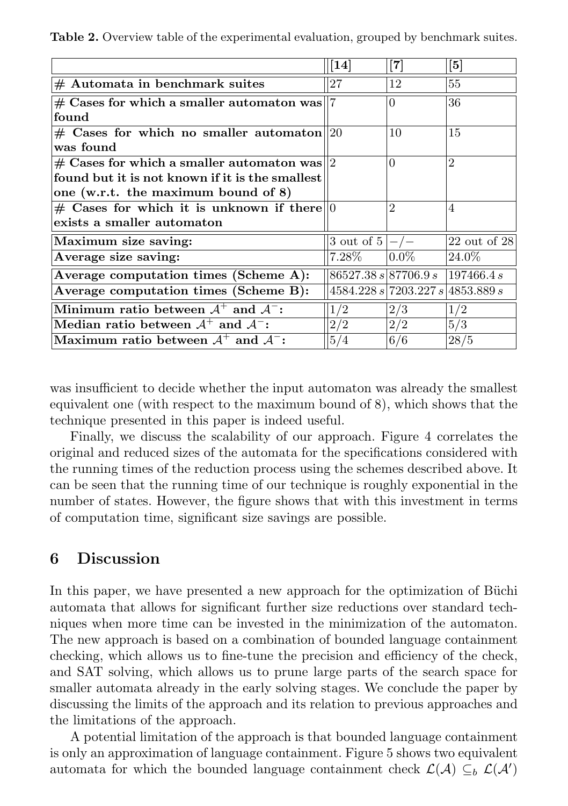|                                                 | $\left\lceil 14 \right\rceil$        | [7]                   | [5]              |
|-------------------------------------------------|--------------------------------------|-----------------------|------------------|
| $#$ Automata in benchmark suites                | 27                                   | 12                    | 55               |
| $#$ Cases for which a smaller automaton was   7 |                                      | $\Omega$              | 36               |
| found                                           |                                      |                       |                  |
| $\#$ Cases for which no smaller automaton 20    |                                      | 10                    | 15               |
| was found                                       |                                      |                       |                  |
| $#$ Cases for which a smaller automaton was   2 |                                      | 0                     | $\overline{2}$   |
| found but it is not known if it is the smallest |                                      |                       |                  |
| one (w.r.t. the maximum bound of 8)             |                                      |                       |                  |
| # Cases for which it is unknown if there $  0$  |                                      | $\mathcal{D}$         | $\overline{4}$   |
| exists a smaller automaton                      |                                      |                       |                  |
| Maximum size saving:                            | 3 out of $5$ $\vert - \vert - \vert$ |                       | $22$ out of $28$ |
| Average size saving:                            | $7.28\%$                             | $\overline{0.0\%}$    | 24.0%            |
| Average computation times (Scheme A):           | $86527.38 s$ 87706.9 s               |                       | 197466.4 s       |
| Average computation times (Scheme B):           |                                      | 4584.228 s 7203.227 s | 14853.889 s      |
| Minimum ratio between $A^+$ and $A^-$ :         | 1/2                                  | 2/3                   | 1/2              |
| Median ratio between $A^+$ and $A^-$ :          | 2/2                                  | 2/2                   | 5/3              |
| Maximum ratio between $A^+$ and $A^-$ :         | 5/4                                  | 6/6                   | 28/5             |

Table 2. Overview table of the experimental evaluation, grouped by benchmark suites.

was insufficient to decide whether the input automaton was already the smallest equivalent one (with respect to the maximum bound of 8), which shows that the technique presented in this paper is indeed useful.

Finally, we discuss the scalability of our approach. Figure 4 correlates the original and reduced sizes of the automata for the specifications considered with the running times of the reduction process using the schemes described above. It can be seen that the running time of our technique is roughly exponential in the number of states. However, the figure shows that with this investment in terms of computation time, significant size savings are possible.

# 6 Discussion

In this paper, we have presented a new approach for the optimization of Büchi automata that allows for significant further size reductions over standard techniques when more time can be invested in the minimization of the automaton. The new approach is based on a combination of bounded language containment checking, which allows us to fine-tune the precision and efficiency of the check, and SAT solving, which allows us to prune large parts of the search space for smaller automata already in the early solving stages. We conclude the paper by discussing the limits of the approach and its relation to previous approaches and the limitations of the approach.

A potential limitation of the approach is that bounded language containment is only an approximation of language containment. Figure 5 shows two equivalent automata for which the bounded language containment check  $\mathcal{L}(\mathcal{A}) \subseteq_b \mathcal{L}(\mathcal{A}')$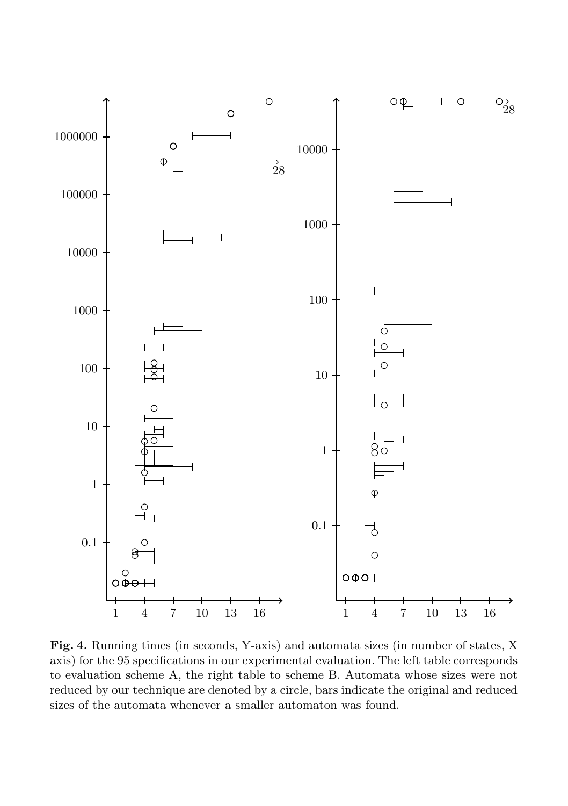

Fig. 4. Running times (in seconds, Y-axis) and automata sizes (in number of states, X axis) for the 95 specifications in our experimental evaluation. The left table corresponds to evaluation scheme A, the right table to scheme B. Automata whose sizes were not reduced by our technique are denoted by a circle, bars indicate the original and reduced sizes of the automata whenever a smaller automaton was found.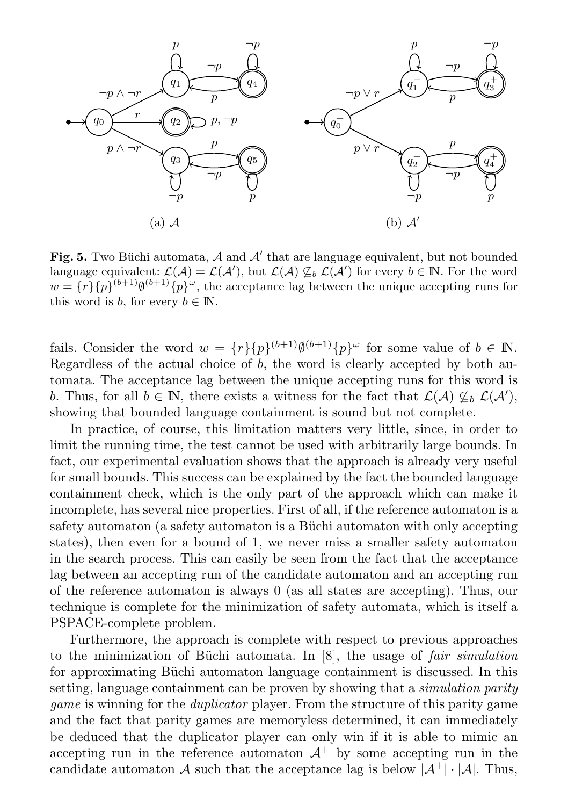

Fig. 5. Two Büchi automata,  $A$  and  $A'$  that are language equivalent, but not bounded language equivalent:  $\mathcal{L}(\mathcal{A}) = \mathcal{L}(\mathcal{A}')$ , but  $\mathcal{L}(\mathcal{A}) \not\subseteq_b \mathcal{L}(\mathcal{A}')$  for every  $b \in \mathbb{N}$ . For the word  $w = {r}$  ${p}^{(b+1)}$  $\emptyset^{(b+1)}$  ${p}^{\omega}$ , the acceptance lag between the unique accepting runs for this word is b, for every  $b \in \mathbb{N}$ .

fails. Consider the word  $w = \{r\}\{p\}^{(b+1)}\{p\}^{\omega}$  for some value of  $b \in \mathbb{N}$ . Regardless of the actual choice of  $b$ , the word is clearly accepted by both automata. The acceptance lag between the unique accepting runs for this word is b. Thus, for all  $b \in \mathbb{N}$ , there exists a witness for the fact that  $\mathcal{L}(\mathcal{A}) \nsubseteq_b \mathcal{L}(\mathcal{A}'),$ showing that bounded language containment is sound but not complete.

In practice, of course, this limitation matters very little, since, in order to limit the running time, the test cannot be used with arbitrarily large bounds. In fact, our experimental evaluation shows that the approach is already very useful for small bounds. This success can be explained by the fact the bounded language containment check, which is the only part of the approach which can make it incomplete, has several nice properties. First of all, if the reference automaton is a safety automaton (a safety automaton is a Büchi automaton with only accepting states), then even for a bound of 1, we never miss a smaller safety automaton in the search process. This can easily be seen from the fact that the acceptance lag between an accepting run of the candidate automaton and an accepting run of the reference automaton is always 0 (as all states are accepting). Thus, our technique is complete for the minimization of safety automata, which is itself a PSPACE-complete problem.

Furthermore, the approach is complete with respect to previous approaches to the minimization of Büchi automata. In  $[8]$ , the usage of *fair simulation* for approximating Büchi automaton language containment is discussed. In this setting, language containment can be proven by showing that a *simulation parity* game is winning for the *duplicator* player. From the structure of this parity game and the fact that parity games are memoryless determined, it can immediately be deduced that the duplicator player can only win if it is able to mimic an accepting run in the reference automaton  $A^+$  by some accepting run in the candidate automaton A such that the acceptance lag is below  $|\mathcal{A}^+| \cdot |\mathcal{A}|$ . Thus,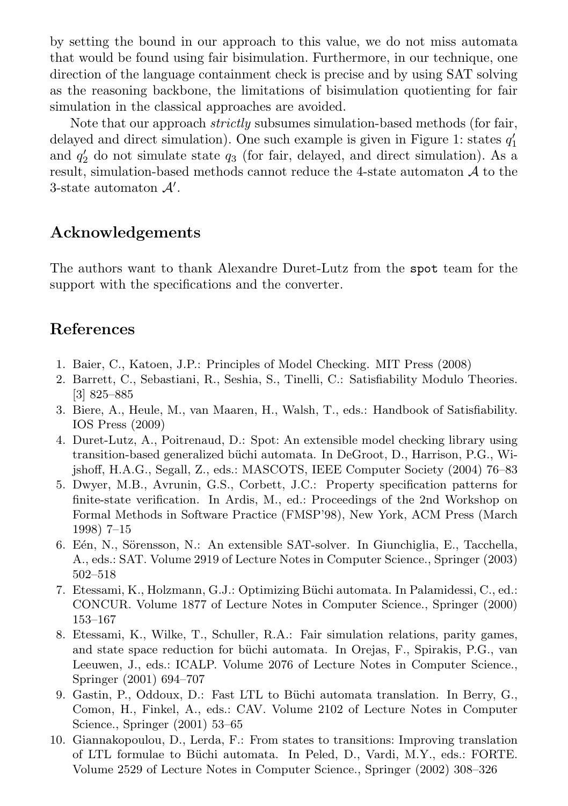by setting the bound in our approach to this value, we do not miss automata that would be found using fair bisimulation. Furthermore, in our technique, one direction of the language containment check is precise and by using SAT solving as the reasoning backbone, the limitations of bisimulation quotienting for fair simulation in the classical approaches are avoided.

Note that our approach strictly subsumes simulation-based methods (for fair, delayed and direct simulation). One such example is given in Figure 1: states  $q'_1$ and  $q'_2$  do not simulate state  $q_3$  (for fair, delayed, and direct simulation). As a result, simulation-based methods cannot reduce the 4-state automaton A to the 3-state automaton  $\mathcal{A}'$ .

# Acknowledgements

The authors want to thank Alexandre Duret-Lutz from the spot team for the support with the specifications and the converter.

# References

- 1. Baier, C., Katoen, J.P.: Principles of Model Checking. MIT Press (2008)
- 2. Barrett, C., Sebastiani, R., Seshia, S., Tinelli, C.: Satisfiability Modulo Theories. [3] 825–885
- 3. Biere, A., Heule, M., van Maaren, H., Walsh, T., eds.: Handbook of Satisfiability. IOS Press (2009)
- 4. Duret-Lutz, A., Poitrenaud, D.: Spot: An extensible model checking library using transition-based generalized büchi automata. In DeGroot, D., Harrison, P.G., Wijshoff, H.A.G., Segall, Z., eds.: MASCOTS, IEEE Computer Society (2004) 76–83
- 5. Dwyer, M.B., Avrunin, G.S., Corbett, J.C.: Property specification patterns for finite-state verification. In Ardis, M., ed.: Proceedings of the 2nd Workshop on Formal Methods in Software Practice (FMSP'98), New York, ACM Press (March 1998) 7–15
- 6. Eén, N., Sörensson, N.: An extensible SAT-solver. In Giunchiglia, E., Tacchella, A., eds.: SAT. Volume 2919 of Lecture Notes in Computer Science., Springer (2003) 502–518
- 7. Etessami, K., Holzmann, G.J.: Optimizing Büchi automata. In Palamidessi, C., ed.: CONCUR. Volume 1877 of Lecture Notes in Computer Science., Springer (2000) 153–167
- 8. Etessami, K., Wilke, T., Schuller, R.A.: Fair simulation relations, parity games, and state space reduction for büchi automata. In Orejas, F., Spirakis, P.G., van Leeuwen, J., eds.: ICALP. Volume 2076 of Lecture Notes in Computer Science., Springer (2001) 694–707
- 9. Gastin, P., Oddoux, D.: Fast LTL to Büchi automata translation. In Berry, G., Comon, H., Finkel, A., eds.: CAV. Volume 2102 of Lecture Notes in Computer Science., Springer (2001) 53–65
- 10. Giannakopoulou, D., Lerda, F.: From states to transitions: Improving translation of LTL formulae to Büchi automata. In Peled, D., Vardi, M.Y., eds.: FORTE. Volume 2529 of Lecture Notes in Computer Science., Springer (2002) 308–326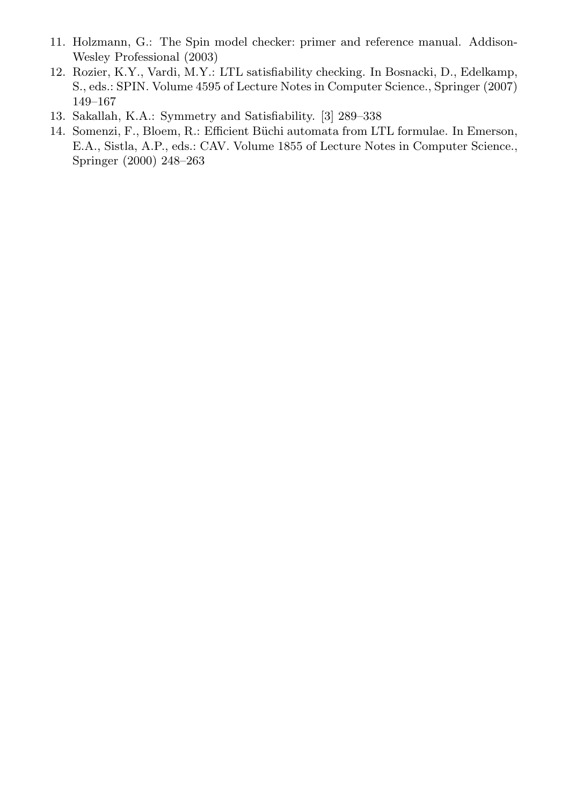- 11. Holzmann, G.: The Spin model checker: primer and reference manual. Addison-Wesley Professional (2003)
- 12. Rozier, K.Y., Vardi, M.Y.: LTL satisfiability checking. In Bosnacki, D., Edelkamp, S., eds.: SPIN. Volume 4595 of Lecture Notes in Computer Science., Springer (2007) 149–167
- 13. Sakallah, K.A.: Symmetry and Satisfiability. [3] 289–338
- 14. Somenzi, F., Bloem, R.: Efficient Büchi automata from LTL formulae. In Emerson, E.A., Sistla, A.P., eds.: CAV. Volume 1855 of Lecture Notes in Computer Science., Springer (2000) 248–263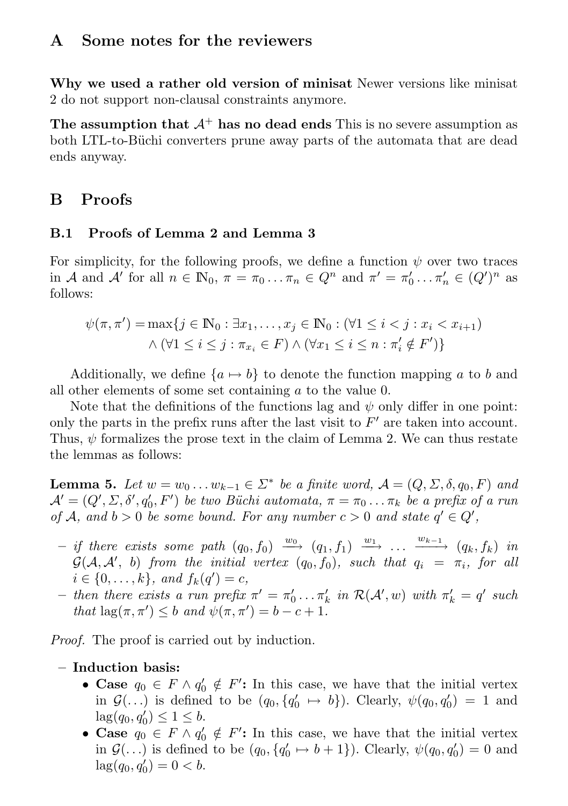### A Some notes for the reviewers

Why we used a rather old version of minisat Newer versions like minisat 2 do not support non-clausal constraints anymore.

The assumption that  $A^+$  has no dead ends This is no severe assumption as both LTL-to-Büchi converters prune away parts of the automata that are dead ends anyway.

# B Proofs

### B.1 Proofs of Lemma 2 and Lemma 3

For simplicity, for the following proofs, we define a function  $\psi$  over two traces in A and A' for all  $n \in \mathbb{N}_0$ ,  $\pi = \pi_0 \dots \pi_n \in Q^n$  and  $\pi' = \pi'_0 \dots \pi'_n \in (Q')^n$  as follows:

$$
\psi(\pi, \pi') = \max\{j \in \mathbb{N}_0 : \exists x_1, \dots, x_j \in \mathbb{N}_0 : (\forall 1 \le i < j : x_i < x_{i+1}) \land (\forall 1 \le i \le j : \pi_{x_i} \in F) \land (\forall x_1 \le i \le n : \pi'_i \notin F')\}
$$

Additionally, we define  $\{a \mapsto b\}$  to denote the function mapping a to b and all other elements of some set containing a to the value 0.

Note that the definitions of the functions lag and  $\psi$  only differ in one point: only the parts in the prefix runs after the last visit to  $F'$  are taken into account. Thus,  $\psi$  formalizes the prose text in the claim of Lemma 2. We can thus restate the lemmas as follows:

**Lemma 5.** Let  $w = w_0 \dots w_{k-1} \in \Sigma^*$  be a finite word,  $\mathcal{A} = (Q, \Sigma, \delta, q_0, F)$  and  $\mathcal{A}' = (Q', \Sigma, \delta', q'_0, F')$  be two Büchi automata,  $\pi = \pi_0 \dots \pi_k$  be a prefix of a run of A, and  $b > 0$  be some bound. For any number  $c > 0$  and state  $q' \in Q'$ ,

- $-$  if there exists some path  $(q_0, f_0) \xrightarrow{w_0} (q_1, f_1) \xrightarrow{w_1} \dots \xrightarrow{w_{k-1}} (q_k, f_k)$  in  $G(\mathcal{A}, \mathcal{A}', b)$  from the initial vertex  $(q_0, f_0)$ , such that  $q_i = \pi_i$ , for all  $i \in \{0, ..., k\}, \text{ and } f_k(q') = c,$
- then there exists a run prefix  $\pi' = \pi'_0 \dots \pi'_k$  in  $\mathcal{R}(\mathcal{A}', w)$  with  $\pi'_k = q'$  such that  $\log(\pi, \pi') \leq b$  and  $\psi(\pi, \pi') = b - c + 1$ .

Proof. The proof is carried out by induction.

- Induction basis:
	- Case  $q_0 \in F \wedge q'_0 \notin F'$ : In this case, we have that the initial vertex in  $\mathcal{G}(\ldots)$  is defined to be  $(q_0, \{q'_0 \mapsto b\})$ . Clearly,  $\psi(q_0, q'_0) = 1$  and  $\log(q_0, q'_0) \leq 1 \leq b.$
	- Case  $q_0 \in F \wedge q'_0 \notin F'$ : In this case, we have that the initial vertex in  $\mathcal{G}(\ldots)$  is defined to be  $(q_0, \{q'_0 \mapsto b+1\})$ . Clearly,  $\psi(q_0, q'_0) = 0$  and  $\log(q_0, q'_0) = 0 < b.$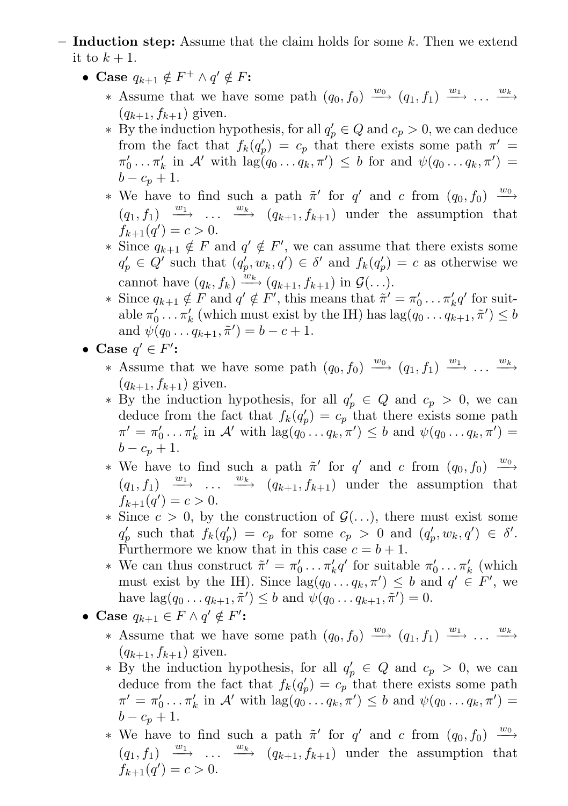- $-$  Induction step: Assume that the claim holds for some k. Then we extend it to  $k+1$ .
	- Case  $q_{k+1} \notin F^+ \wedge q' \notin F$ :
		- ∗ Assume that we have some path  $(q_0, f_0) \xrightarrow{w_0} (q_1, f_1) \xrightarrow{w_1} \dots \xrightarrow{w_k}$  $(q_{k+1}, f_{k+1})$  given.
		- ∗ By the induction hypothesis, for all  $q'_p$  ∈  $Q$  and  $c_p > 0$ , we can deduce from the fact that  $f_k(q_p') = c_p$  that there exists some path  $\pi' =$  $\pi'_0 \dots \pi'_k$  in A' with  $\log(q_0 \dots q_k, \pi') \leq b$  for and  $\psi(q_0 \dots q_k, \pi') =$  $b - c_p + 1.$
		- \* We have to find such a path  $\tilde{\pi}'$  for q' and c from  $(q_0, f_0) \xrightarrow{w_0}$  $(q_1, f_1) \xrightarrow{w_1} \dots \xrightarrow{w_k} (q_{k+1}, f_{k+1})$  under the assumption that  $f_{k+1}(q') = c > 0.$
		- ∗ Since  $q_{k+1} \notin F$  and  $q' \notin F'$ , we can assume that there exists some  $q'_p \in Q'$  such that  $(q'_p, w_k, q') \in \delta'$  and  $f_k(q'_p) = c$  as otherwise we cannot have  $(q_k, f_k) \xrightarrow{w_k} (q_{k+1}, f_{k+1})$  in  $\mathcal{G}(\ldots)$ .
		- \* Since  $q_{k+1} \notin F$  and  $q' \notin F'$ , this means that  $\tilde{\pi}' = \pi'_0 \dots \pi'_k q'$  for suitable  $\pi'_0 \dots \pi'_k$  (which must exist by the IH) has  $\log(q_0 \dots q_{k+1}, \tilde{\pi}') \le b$ and  $\psi(q_0 \dots q_{k+1}, \tilde{\pi}') = b - c + 1$ .
	- Case  $q' \in F'$ :
		- \* Assume that we have some path  $(q_0, f_0) \xrightarrow{w_0} (q_1, f_1) \xrightarrow{w_1} \dots \xrightarrow{w_k}$  $(q_{k+1}, f_{k+1})$  given.
		- ∗ By the induction hypothesis, for all  $q'_p$  ∈ Q and  $c_p > 0$ , we can deduce from the fact that  $f_k(q_p) = c_p$  that there exists some path  $\pi' = \pi'_0 \dots \pi'_k$  in A' with  $\log(q_0 \dots q_k, \pi') \leq b$  and  $\psi(q_0 \dots q_k, \pi') =$  $b - c_p + 1.$
		- \* We have to find such a path  $\tilde{\pi}'$  for q' and c from  $(q_0, f_0) \xrightarrow{w_0}$  $(q_1, f_1) \stackrel{w_1}{\longrightarrow} \dots \stackrel{w_k}{\longrightarrow} (q_{k+1}, f_{k+1})$  under the assumption that  $f_{k+1}(q') = c > 0.$
		- $∗$  Since  $c > 0$ , by the construction of  $\mathcal{G}(\ldots)$ , there must exist some  $q'_p$  such that  $f_k(q'_p) = c_p$  for some  $c_p > 0$  and  $(q'_p, w_k, q') \in \delta'.$ Furthermore we know that in this case  $c = b + 1$ .
		- ∗ We can thus construct  $\tilde{\pi}' = \pi'_0 \dots \pi'_k q'$  for suitable  $\pi'_0 \dots \pi'_k$  (which must exist by the IH). Since  $\text{lag}(q_0 \dots q_k, \pi') \leq b$  and  $q' \in F'$ , we have  $\log(q_0 \dots q_{k+1}, \tilde{\pi}') \leq b$  and  $\psi(q_0 \dots q_{k+1}, \tilde{\pi}') = 0$ .
	- Case  $q_{k+1} \in F \wedge q' \notin F'$ :
		- ∗ Assume that we have some path  $(q_0, f_0) \xrightarrow{w_0} (q_1, f_1) \xrightarrow{w_1} \dots \xrightarrow{w_k}$  $(q_{k+1}, f_{k+1})$  given.
		- ∗ By the induction hypothesis, for all  $q'_p$  ∈ Q and  $c_p > 0$ , we can deduce from the fact that  $f_k(q_p) = c_p$  that there exists some path  $\pi' = \pi'_0 \dots \pi'_k$  in A' with  $\log(q_0 \dots q_k, \pi') \leq b$  and  $\psi(q_0 \dots q_k, \pi') =$  $b - c_n + 1.$
		- \* We have to find such a path  $\tilde{\pi}'$  for q' and c from  $(q_0, f_0) \xrightarrow{w_0}$  $(q_1, f_1) \stackrel{w_1}{\longrightarrow} \cdots \stackrel{w_k}{\longrightarrow} (q_{k+1}, f_{k+1})$  under the assumption that  $f_{k+1}(q') = c > 0.$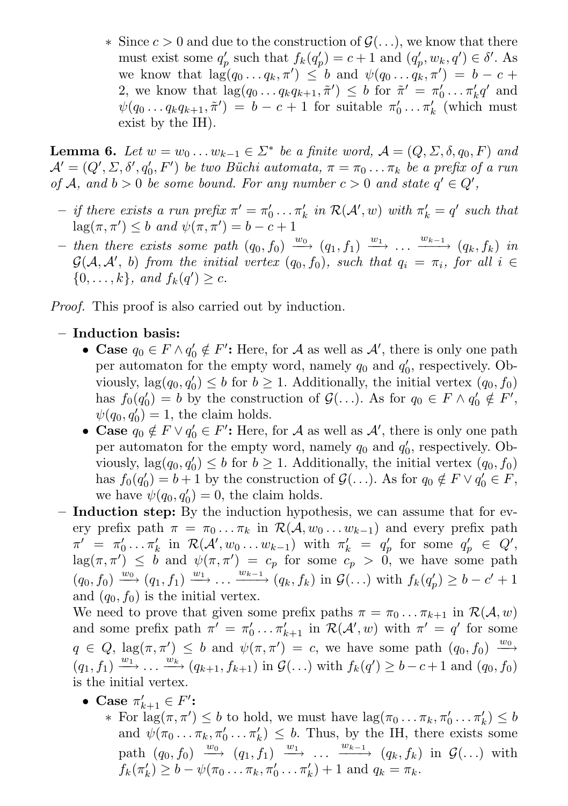$∗$  Since  $c > 0$  and due to the construction of  $\mathcal{G}(...)$ , we know that there must exist some  $q'_p$  such that  $f_k(q'_p) = c + 1$  and  $(q'_p, w_k, q') \in \delta'$ . As we know that  $\log(q_0 \dots q_k, \pi') \leq b$  and  $\psi(q_0 \dots q_k, \pi') = b - c +$ 2, we know that  $\log(q_0 \dots q_k q_{k+1}, \tilde{\pi}') \leq b$  for  $\tilde{\pi}' = \pi'_0 \dots \pi'_k q'$  and  $\psi(q_0 \dots q_k q_{k+1}, \tilde{\pi}') = b - c + 1$  for suitable  $\pi'_0 \dots \pi'_k$  (which must exist by the IH).

**Lemma 6.** Let  $w = w_0 \dots w_{k-1} \in \Sigma^*$  be a finite word,  $\mathcal{A} = (Q, \Sigma, \delta, q_0, F)$  and  $\mathcal{A}' = (Q', \Sigma, \delta', q'_0, F')$  be two Büchi automata,  $\pi = \pi_0 \dots \pi_k$  be a prefix of a run of A, and  $b > 0$  be some bound. For any number  $c > 0$  and state  $q' \in Q'$ ,

- if there exists a run prefix  $\pi' = \pi'_0 \dots \pi'_k$  in  $\mathcal{R}(\mathcal{A}', w)$  with  $\pi'_k = q'$  such that  $\log(\pi, \pi') \leq b$  and  $\psi(\pi, \pi') = b - c + 1$
- $-$  then there exists some path  $(q_0, f_0) \xrightarrow{w_0} (q_1, f_1) \xrightarrow{w_1} \ldots \xrightarrow{w_{k-1}} (q_k, f_k)$  in  $\mathcal{G}(\mathcal{A}, \mathcal{A}', b)$  from the initial vertex  $(q_0, f_0)$ , such that  $q_i = \pi_i$ , for all  $i \in$  $\{0, \ldots, k\}, \text{ and } f_k(q') \geq c.$

Proof. This proof is also carried out by induction.

- Induction basis:
	- Case  $q_0 \in F \wedge q'_0 \notin F'$ : Here, for A as well as A', there is only one path per automaton for the empty word, namely  $q_0$  and  $q'_0$ , respectively. Obviously,  $\log(q_0, q'_0) \leq b$  for  $b \geq 1$ . Additionally, the initial vertex  $(q_0, f_0)$ has  $f_0(q'_0) = b$  by the construction of  $\mathcal{G}(\ldots)$ . As for  $q_0 \in F \wedge q'_0 \notin F'$ ,  $\psi(q_0, q'_0) = 1$ , the claim holds.
	- Case  $q_0 \notin F \lor q'_0 \in F'$ : Here, for A as well as A', there is only one path per automaton for the empty word, namely  $q_0$  and  $q'_0$ , respectively. Obviously,  $\log(q_0, q'_0) \leq b$  for  $b \geq 1$ . Additionally, the initial vertex  $(q_0, f_0)$ has  $f_0(q'_0) = b + 1$  by the construction of  $\mathcal{G}(\ldots)$ . As for  $q_0 \notin F \vee q'_0 \in F$ , we have  $\psi(q_0, q'_0) = 0$ , the claim holds.
- Induction step: By the induction hypothesis, we can assume that for every prefix path  $\pi = \pi_0 \dots \pi_k$  in  $\mathcal{R}(\mathcal{A}, w_0 \dots w_{k-1})$  and every prefix path  $\pi' = \pi'_0 \dots \pi'_k$  in  $\mathcal{R}(\mathcal{A}', w_0 \dots w_{k-1})$  with  $\pi'_k = q'_p$  for some  $q'_p \in Q',$  $\log(\pi, \pi') \leq b$  and  $\psi(\pi, \pi') = c_p$  for some  $c_p > 0$ , we have some path  $(q_0, f_0) \xrightarrow{w_0} (q_1, f_1) \xrightarrow{w_1} \ldots \xrightarrow{w_{k-1}} (q_k, f_k)$  in  $\mathcal{G}(\ldots)$  with  $f_k(q'_p) \geq b - c' + 1$ and  $(q_0, f_0)$  is the initial vertex.

We need to prove that given some prefix paths  $\pi = \pi_0 \dots \pi_{k+1}$  in  $\mathcal{R}(\mathcal{A}, w)$ and some prefix path  $\pi' = \pi'_0 \dots \pi'_{k+1}$  in  $\mathcal{R}(\mathcal{A}', w)$  with  $\pi' = q'$  for some  $q \in Q$ ,  $\log(\pi, \pi') \leq b$  and  $\psi(\pi, \pi') = c$ , we have some path  $(q_0, f_0) \xrightarrow{w_0}$  $(q_1, f_1) \xrightarrow{w_1} \ldots \xrightarrow{w_k} (q_{k+1}, f_{k+1})$  in  $\mathcal{G}(\ldots)$  with  $f_k(q') \geq b-c+1$  and  $(q_0, f_0)$ is the initial vertex.

- Case  $\pi'_{k+1} \in F'$ :
	- \* For  $\log(\pi, \pi') \leq b$  to hold, we must have  $\log(\pi_0 \dots \pi_k, \pi'_0 \dots \pi'_k) \leq b$ and  $\psi(\pi_0 \dots \pi_k, \pi'_0 \dots \pi'_k) \leq b$ . Thus, by the IH, there exists some k path  $(q_0, f_0) \xrightarrow{w_0} (q_1, f_1) \xrightarrow{w_1} \dots \xrightarrow{w_{k-1}} (q_k, f_k)$  in  $\mathcal{G}(\dots)$  with  $f_k(\pi'_k) \ge b - \psi(\pi_0 \dots \pi_k, \pi'_0 \dots \pi'_k) + 1$  and  $q_k = \pi_k$ .